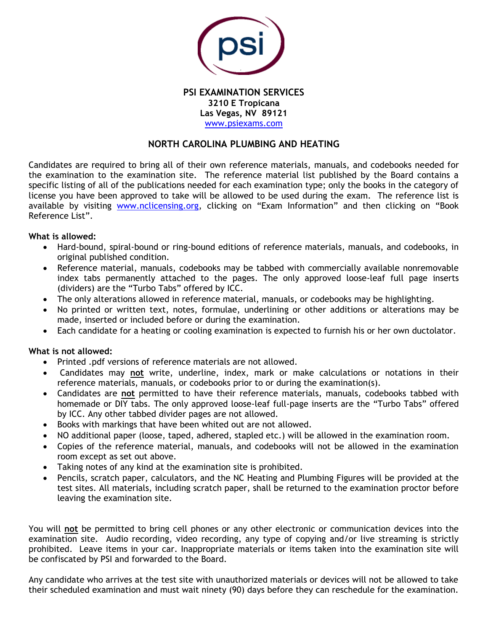

**PSI EXAMINATION SERVICES 3210 E Tropicana Las Vegas, NV 89121** [www.psiexams.com](http://www.psiexams.com/)

# **NORTH CAROLINA PLUMBING AND HEATING**

Candidates are required to bring all of their own reference materials, manuals, and codebooks needed for the examination to the examination site. The reference material list published by the Board contains a specific listing of all of the publications needed for each examination type; only the books in the category of license you have been approved to take will be allowed to be used during the exam. The reference list is available by visiting [www.nclicensing.org](http://www.nclicensing.org/), clicking on "Exam Information" and then clicking on "Book Reference List".

## **What is allowed:**

- Hard-bound, spiral-bound or ring-bound editions of reference materials, manuals, and codebooks, in original published condition.
- Reference material, manuals, codebooks may be tabbed with commercially available nonremovable index tabs permanently attached to the pages. The only approved loose-leaf full page inserts (dividers) are the "Turbo Tabs" offered by ICC.
- The only alterations allowed in reference material, manuals, or codebooks may be highlighting.
- No printed or written text, notes, formulae, underlining or other additions or alterations may be made, inserted or included before or during the examination.
- Each candidate for a heating or cooling examination is expected to furnish his or her own ductolator.

# **What is not allowed:**

- Printed .pdf versions of reference materials are not allowed.
- Candidates may **not** write, underline, index, mark or make calculations or notations in their reference materials, manuals, or codebooks prior to or during the examination(s).
- Candidates are **not** permitted to have their reference materials, manuals, codebooks tabbed with homemade or DIY tabs. The only approved loose-leaf full-page inserts are the "Turbo Tabs" offered by ICC. Any other tabbed divider pages are not allowed.
- Books with markings that have been whited out are not allowed.
- NO additional paper (loose, taped, adhered, stapled etc.) will be allowed in the examination room.
- Copies of the reference material, manuals, and codebooks will not be allowed in the examination room except as set out above.
- Taking notes of any kind at the examination site is prohibited.
- Pencils, scratch paper, calculators, and the NC Heating and Plumbing Figures will be provided at the test sites. All materials, including scratch paper, shall be returned to the examination proctor before leaving the examination site.

You will **not** be permitted to bring cell phones or any other electronic or communication devices into the examination site. Audio recording, video recording, any type of copying and/or live streaming is strictly prohibited. Leave items in your car. Inappropriate materials or items taken into the examination site will be confiscated by PSI and forwarded to the Board.

Any candidate who arrives at the test site with unauthorized materials or devices will not be allowed to take their scheduled examination and must wait ninety (90) days before they can reschedule for the examination.